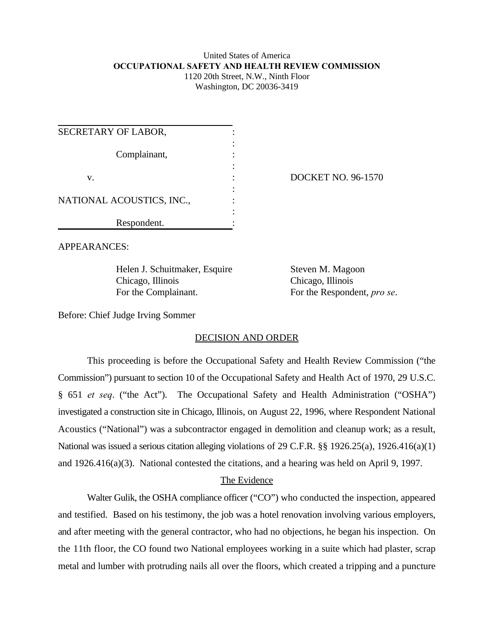### United States of America **OCCUPATIONAL SAFETY AND HEALTH REVIEW COMMISSION** 1120 20th Street, N.W., Ninth Floor Washington, DC 20036-3419

| SECRETARY OF LABOR,       |                           |
|---------------------------|---------------------------|
| Complainant,              |                           |
| V.                        | <b>DOCKET NO. 96-1570</b> |
| NATIONAL ACOUSTICS, INC., |                           |
| Respondent.               |                           |

APPEARANCES:

Helen J. Schuitmaker, Esquire Steven M. Magoon Chicago, Illinois Chicago, Illinois For the Complainant. For the Respondent, *pro se*.

Before: Chief Judge Irving Sommer

# DECISION AND ORDER

This proceeding is before the Occupational Safety and Health Review Commission ("the Commission") pursuant to section 10 of the Occupational Safety and Health Act of 1970, 29 U.S.C. § 651 *et seq*. ("the Act"). The Occupational Safety and Health Administration ("OSHA") investigated a construction site in Chicago, Illinois, on August 22, 1996, where Respondent National Acoustics ("National") was a subcontractor engaged in demolition and cleanup work; as a result, National was issued a serious citation alleging violations of 29 C.F.R. §§ 1926.25(a), 1926.416(a)(1) and 1926.416(a)(3). National contested the citations, and a hearing was held on April 9, 1997.

# The Evidence

Walter Gulik, the OSHA compliance officer ("CO") who conducted the inspection, appeared and testified. Based on his testimony, the job was a hotel renovation involving various employers, and after meeting with the general contractor, who had no objections, he began his inspection. On the 11th floor, the CO found two National employees working in a suite which had plaster, scrap metal and lumber with protruding nails all over the floors, which created a tripping and a puncture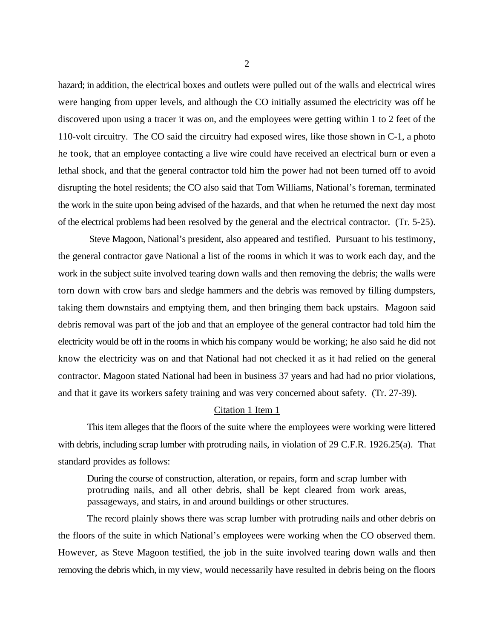hazard; in addition, the electrical boxes and outlets were pulled out of the walls and electrical wires were hanging from upper levels, and although the CO initially assumed the electricity was off he discovered upon using a tracer it was on, and the employees were getting within 1 to 2 feet of the 110-volt circuitry. The CO said the circuitry had exposed wires, like those shown in C-1, a photo he took, that an employee contacting a live wire could have received an electrical burn or even a lethal shock, and that the general contractor told him the power had not been turned off to avoid disrupting the hotel residents; the CO also said that Tom Williams, National's foreman, terminated the work in the suite upon being advised of the hazards, and that when he returned the next day most of the electrical problems had been resolved by the general and the electrical contractor. (Tr. 5-25).

 Steve Magoon, National's president, also appeared and testified. Pursuant to his testimony, the general contractor gave National a list of the rooms in which it was to work each day, and the work in the subject suite involved tearing down walls and then removing the debris; the walls were torn down with crow bars and sledge hammers and the debris was removed by filling dumpsters, taking them downstairs and emptying them, and then bringing them back upstairs. Magoon said debris removal was part of the job and that an employee of the general contractor had told him the electricity would be off in the rooms in which his company would be working; he also said he did not know the electricity was on and that National had not checked it as it had relied on the general contractor. Magoon stated National had been in business 37 years and had had no prior violations, and that it gave its workers safety training and was very concerned about safety. (Tr. 27-39).

### Citation 1 Item 1

This item alleges that the floors of the suite where the employees were working were littered with debris, including scrap lumber with protruding nails, in violation of 29 C.F.R. 1926.25(a). That standard provides as follows:

During the course of construction, alteration, or repairs, form and scrap lumber with protruding nails, and all other debris, shall be kept cleared from work areas, passageways, and stairs, in and around buildings or other structures.

The record plainly shows there was scrap lumber with protruding nails and other debris on the floors of the suite in which National's employees were working when the CO observed them. However, as Steve Magoon testified, the job in the suite involved tearing down walls and then removing the debris which, in my view, would necessarily have resulted in debris being on the floors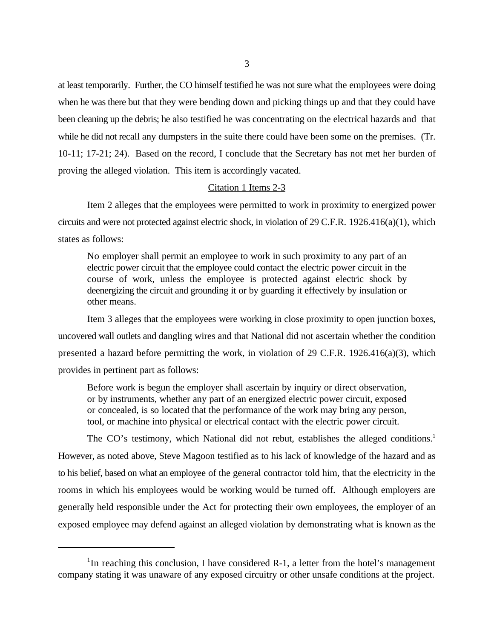at least temporarily. Further, the CO himself testified he was not sure what the employees were doing when he was there but that they were bending down and picking things up and that they could have been cleaning up the debris; he also testified he was concentrating on the electrical hazards and that while he did not recall any dumpsters in the suite there could have been some on the premises. (Tr. 10-11; 17-21; 24). Based on the record, I conclude that the Secretary has not met her burden of proving the alleged violation. This item is accordingly vacated.

## Citation 1 Items 2-3

Item 2 alleges that the employees were permitted to work in proximity to energized power circuits and were not protected against electric shock, in violation of 29 C.F.R. 1926.416(a)(1), which states as follows:

No employer shall permit an employee to work in such proximity to any part of an electric power circuit that the employee could contact the electric power circuit in the course of work, unless the employee is protected against electric shock by deenergizing the circuit and grounding it or by guarding it effectively by insulation or other means.

Item 3 alleges that the employees were working in close proximity to open junction boxes, uncovered wall outlets and dangling wires and that National did not ascertain whether the condition presented a hazard before permitting the work, in violation of 29 C.F.R. 1926.416(a)(3), which provides in pertinent part as follows:

Before work is begun the employer shall ascertain by inquiry or direct observation, or by instruments, whether any part of an energized electric power circuit, exposed or concealed, is so located that the performance of the work may bring any person, tool, or machine into physical or electrical contact with the electric power circuit.

The CO's testimony, which National did not rebut, establishes the alleged conditions.<sup>1</sup> However, as noted above, Steve Magoon testified as to his lack of knowledge of the hazard and as to his belief, based on what an employee of the general contractor told him, that the electricity in the rooms in which his employees would be working would be turned off. Although employers are generally held responsible under the Act for protecting their own employees, the employer of an exposed employee may defend against an alleged violation by demonstrating what is known as the

<sup>&</sup>lt;sup>1</sup>In reaching this conclusion, I have considered R-1, a letter from the hotel's management company stating it was unaware of any exposed circuitry or other unsafe conditions at the project.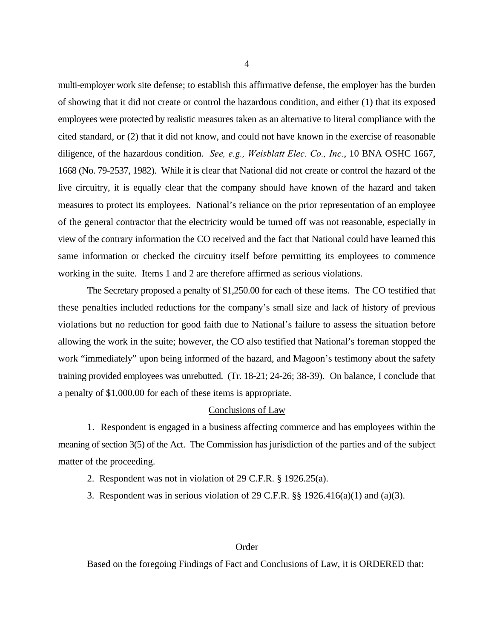multi-employer work site defense; to establish this affirmative defense, the employer has the burden of showing that it did not create or control the hazardous condition, and either (1) that its exposed employees were protected by realistic measures taken as an alternative to literal compliance with the cited standard, or (2) that it did not know, and could not have known in the exercise of reasonable diligence, of the hazardous condition. *See, e.g., Weisblatt Elec. Co., Inc.*, 10 BNA OSHC 1667, 1668 (No. 79-2537, 1982). While it is clear that National did not create or control the hazard of the live circuitry, it is equally clear that the company should have known of the hazard and taken measures to protect its employees. National's reliance on the prior representation of an employee of the general contractor that the electricity would be turned off was not reasonable, especially in view of the contrary information the CO received and the fact that National could have learned this same information or checked the circuitry itself before permitting its employees to commence working in the suite. Items 1 and 2 are therefore affirmed as serious violations.

The Secretary proposed a penalty of \$1,250.00 for each of these items. The CO testified that these penalties included reductions for the company's small size and lack of history of previous violations but no reduction for good faith due to National's failure to assess the situation before allowing the work in the suite; however, the CO also testified that National's foreman stopped the work "immediately" upon being informed of the hazard, and Magoon's testimony about the safety training provided employees was unrebutted. (Tr. 18-21; 24-26; 38-39). On balance, I conclude that a penalty of \$1,000.00 for each of these items is appropriate.

#### Conclusions of Law

1. Respondent is engaged in a business affecting commerce and has employees within the meaning of section 3(5) of the Act. The Commission has jurisdiction of the parties and of the subject matter of the proceeding.

- 2. Respondent was not in violation of 29 C.F.R. § 1926.25(a).
- 3. Respondent was in serious violation of 29 C.F.R.  $\S$  1926.416(a)(1) and (a)(3).

### Order

Based on the foregoing Findings of Fact and Conclusions of Law, it is ORDERED that: